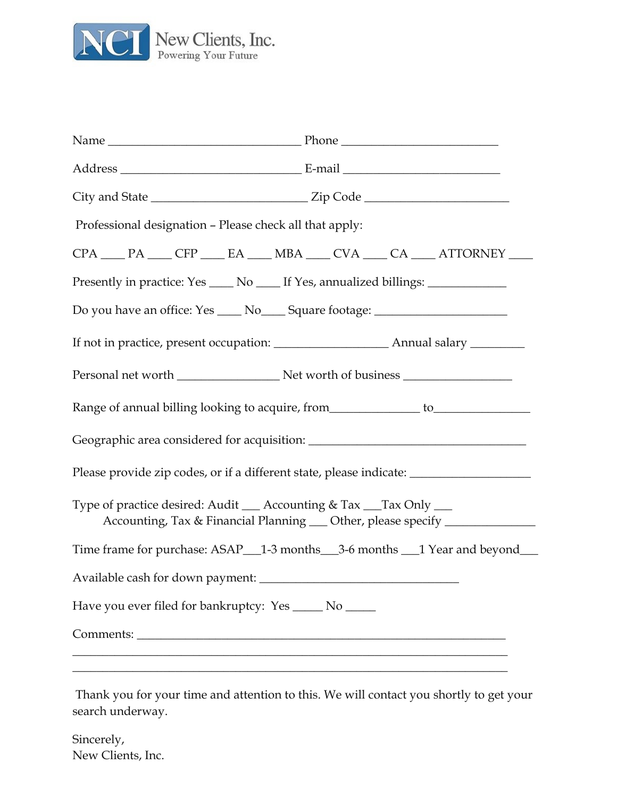

| Professional designation – Please check all that apply:                                                                                          |                                                                   |  |  |
|--------------------------------------------------------------------------------------------------------------------------------------------------|-------------------------------------------------------------------|--|--|
|                                                                                                                                                  | CPA ___ PA ___ CFP ___ EA ___ MBA ___ CVA ___ CA ___ ATTORNEY ___ |  |  |
| Presently in practice: Yes _____ No _____ If Yes, annualized billings: __________                                                                |                                                                   |  |  |
| Do you have an office: Yes _____ No_____ Square footage: _______________________                                                                 |                                                                   |  |  |
|                                                                                                                                                  |                                                                   |  |  |
|                                                                                                                                                  |                                                                   |  |  |
| Range of annual billing looking to acquire, from______________ to_______________                                                                 |                                                                   |  |  |
|                                                                                                                                                  |                                                                   |  |  |
| Please provide zip codes, or if a different state, please indicate: _____________                                                                |                                                                   |  |  |
| Type of practice desired: Audit __ Accounting & Tax __Tax Only __<br>Accounting, Tax & Financial Planning __ Other, please specify _____________ |                                                                   |  |  |
| Time frame for purchase: ASAP_1-3 months __3-6 months __1 Year and beyond___                                                                     |                                                                   |  |  |
| Available cash for down payment: _______                                                                                                         |                                                                   |  |  |
| Have you ever filed for bankruptcy: Yes _____ No _____                                                                                           |                                                                   |  |  |
| Comments:                                                                                                                                        |                                                                   |  |  |
|                                                                                                                                                  |                                                                   |  |  |

Thank you for your time and attention to this. We will contact you shortly to get your search underway.

Sincerely, New Clients, Inc.